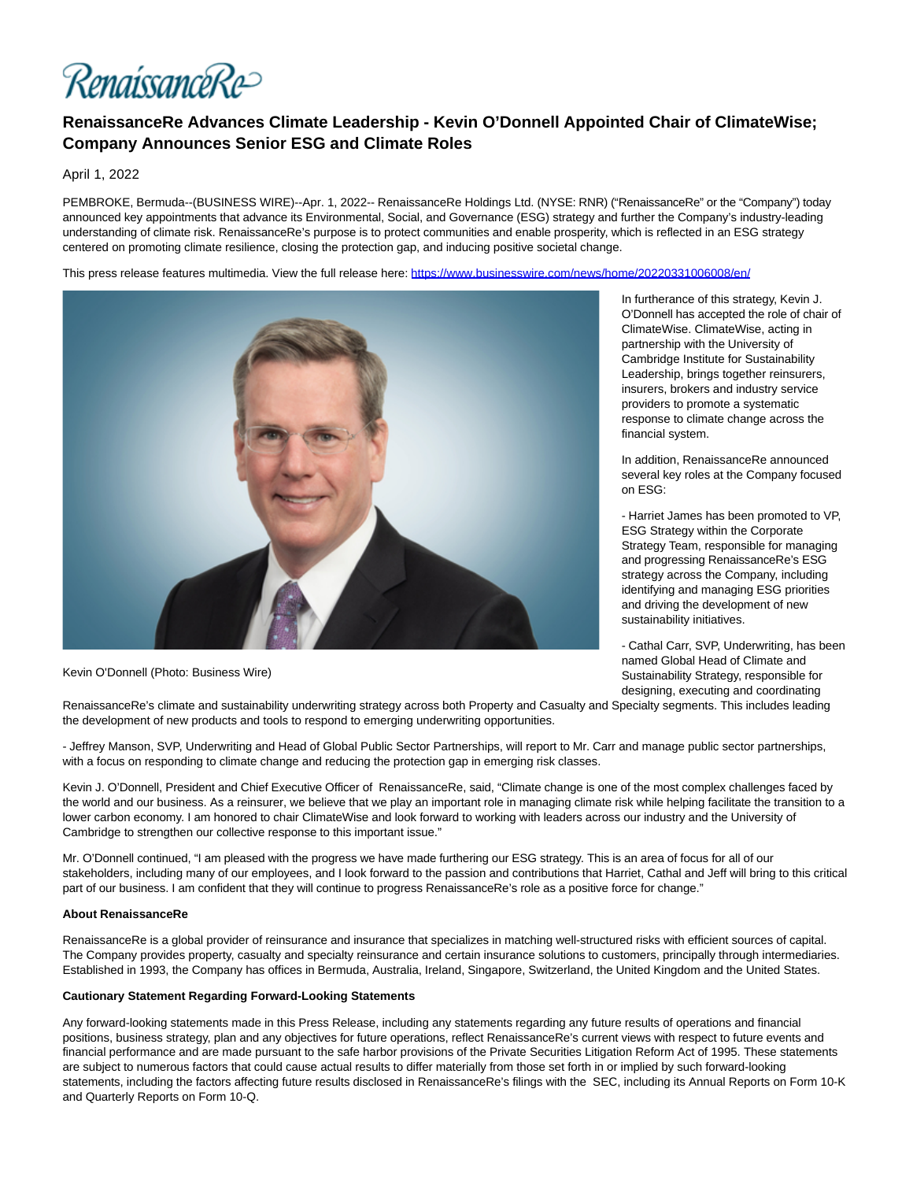RenaissanceRe

## **RenaissanceRe Advances Climate Leadership - Kevin O'Donnell Appointed Chair of ClimateWise; Company Announces Senior ESG and Climate Roles**

April 1, 2022

PEMBROKE, Bermuda--(BUSINESS WIRE)--Apr. 1, 2022-- RenaissanceRe Holdings Ltd. (NYSE: RNR) ("RenaissanceRe" or the "Company") today announced key appointments that advance its Environmental, Social, and Governance (ESG) strategy and further the Company's industry-leading understanding of climate risk. RenaissanceRe's purpose is to protect communities and enable prosperity, which is reflected in an ESG strategy centered on promoting climate resilience, closing the protection gap, and inducing positive societal change.

This press release features multimedia. View the full release here:<https://www.businesswire.com/news/home/20220331006008/en/>



Kevin O'Donnell (Photo: Business Wire)

In furtherance of this strategy, Kevin J. O'Donnell has accepted the role of chair of ClimateWise. ClimateWise, acting in partnership with the University of Cambridge Institute for Sustainability Leadership, brings together reinsurers, insurers, brokers and industry service providers to promote a systematic response to climate change across the financial system.

In addition, RenaissanceRe announced several key roles at the Company focused on ESG:

- Harriet James has been promoted to VP, ESG Strategy within the Corporate Strategy Team, responsible for managing and progressing RenaissanceRe's ESG strategy across the Company, including identifying and managing ESG priorities and driving the development of new sustainability initiatives.

- Cathal Carr, SVP, Underwriting, has been named Global Head of Climate and Sustainability Strategy, responsible for designing, executing and coordinating

RenaissanceRe's climate and sustainability underwriting strategy across both Property and Casualty and Specialty segments. This includes leading the development of new products and tools to respond to emerging underwriting opportunities.

- Jeffrey Manson, SVP, Underwriting and Head of Global Public Sector Partnerships, will report to Mr. Carr and manage public sector partnerships, with a focus on responding to climate change and reducing the protection gap in emerging risk classes.

Kevin J. O'Donnell, President and Chief Executive Officer of RenaissanceRe, said, "Climate change is one of the most complex challenges faced by the world and our business. As a reinsurer, we believe that we play an important role in managing climate risk while helping facilitate the transition to a lower carbon economy. I am honored to chair ClimateWise and look forward to working with leaders across our industry and the University of Cambridge to strengthen our collective response to this important issue."

Mr. O'Donnell continued, "I am pleased with the progress we have made furthering our ESG strategy. This is an area of focus for all of our stakeholders, including many of our employees, and I look forward to the passion and contributions that Harriet, Cathal and Jeff will bring to this critical part of our business. I am confident that they will continue to progress RenaissanceRe's role as a positive force for change."

## **About RenaissanceRe**

RenaissanceRe is a global provider of reinsurance and insurance that specializes in matching well-structured risks with efficient sources of capital. The Company provides property, casualty and specialty reinsurance and certain insurance solutions to customers, principally through intermediaries. Established in 1993, the Company has offices in Bermuda, Australia, Ireland, Singapore, Switzerland, the United Kingdom and the United States.

## **Cautionary Statement Regarding Forward-Looking Statements**

Any forward-looking statements made in this Press Release, including any statements regarding any future results of operations and financial positions, business strategy, plan and any objectives for future operations, reflect RenaissanceRe's current views with respect to future events and financial performance and are made pursuant to the safe harbor provisions of the Private Securities Litigation Reform Act of 1995. These statements are subject to numerous factors that could cause actual results to differ materially from those set forth in or implied by such forward-looking statements, including the factors affecting future results disclosed in RenaissanceRe's filings with the SEC, including its Annual Reports on Form 10-K and Quarterly Reports on Form 10-Q.